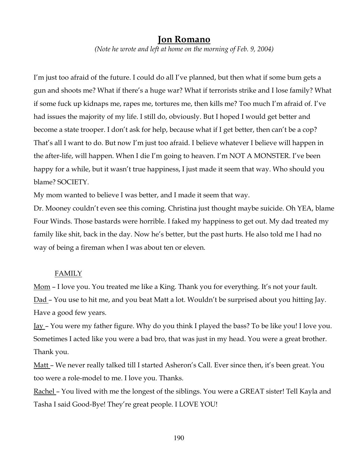# Jon Romano

(Note he wrote and left at home on the morning of Feb. 9, 2004)

I'm just too afraid of the future. I could do all I've planned, but then what if some bum gets a gun and shoots me? What if there's a huge war? What if terrorists strike and I lose family? What if some fuck up kidnaps me, rapes me, tortures me, then kills me? Too much I'm afraid of. I've had issues the majority of my life. I still do, obviously. But I hoped I would get better and become a state trooper. I don't ask for help, because what if I get better, then can't be a cop? That's all I want to do. But now I'm just too afraid. I believe whatever I believe will happen in the after-life, will happen. When I die I'm going to heaven. I'm NOT A MONSTER. I've been happy for a while, but it wasn't true happiness, I just made it seem that way. Who should you blame? SOCIETY.

My mom wanted to believe I was better, and I made it seem that way.

Dr. Mooney couldn't even see this coming. Christina just thought maybe suicide. Oh YEA, blame Four Winds. Those bastards were horrible. I faked my happiness to get out. My dad treated my family like shit, back in the day. Now he's better, but the past hurts. He also told me I had no way of being a fireman when I was about ten or eleven.

#### FAMILY

Mom – I love you. You treated me like a King. Thank you for everything. It's not your fault. Dad – You use to hit me, and you beat Matt a lot. Wouldn't be surprised about you hitting Jay. Have a good few years.

Jay – You were my father figure. Why do you think I played the bass? To be like you! I love you. Sometimes I acted like you were a bad bro, that was just in my head. You were a great brother. Thank you.

Matt - We never really talked till I started Asheron's Call. Ever since then, it's been great. You too were a role-model to me. I love you. Thanks.

Rachel - You lived with me the longest of the siblings. You were a GREAT sister! Tell Kayla and Tasha I said Good-Bye! They're great people. I LOVE YOU!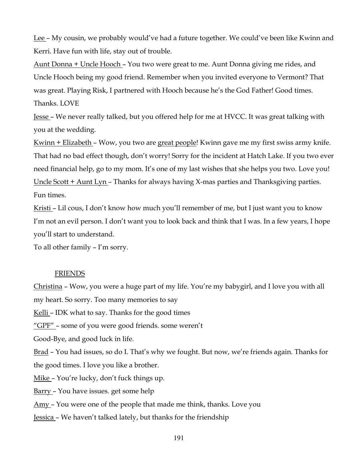Lee - My cousin, we probably would've had a future together. We could've been like Kwinn and Kerri. Have fun with life, stay out of trouble.

Aunt Donna + Uncle Hooch – You two were great to me. Aunt Donna giving me rides, and Uncle Hooch being my good friend. Remember when you invited everyone to Vermont? That was great. Playing Risk, I partnered with Hooch because he's the God Father! Good times. Thanks. LOVE

Jesse – We never really talked, but you offered help for me at HVCC. It was great talking with you at the wedding.

Kwinn + Elizabeth – Wow, you two are great people! Kwinn gave me my first swiss army knife. That had no bad effect though, don't worry! Sorry for the incident at Hatch Lake. If you two ever need financial help, go to my mom. It's one of my last wishes that she helps you two. Love you! Uncle Scott + Aunt Lyn – Thanks for always having X-mas parties and Thanksgiving parties. Fun times.

Kristi – Lil cous, I don't know how much you'll remember of me, but I just want you to know I'm not an evil person. I don't want you to look back and think that I was. In a few years, I hope you'll start to understand.

To all other family – I'm sorry.

### FRIENDS

Christina – Wow, you were a huge part of my life. You're my babygirl, and I love you with all my heart. So sorry. Too many memories to say

Kelli – IDK what to say. Thanks for the good times

"GPF" – some of you were good friends. some weren't

Good-Bye, and good luck in life.

Brad - You had issues, so do I. That's why we fought. But now, we're friends again. Thanks for the good times. I love you like a brother.

Mike – You're lucky, don't fuck things up.

Barry – You have issues. get some help

Amy – You were one of the people that made me think, thanks. Love you

Jessica – We haven't talked lately, but thanks for the friendship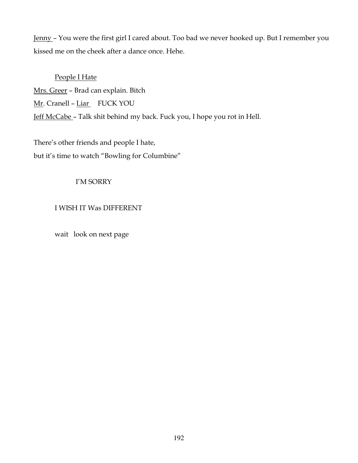Jenny – You were the first girl I cared about. Too bad we never hooked up. But I remember you kissed me on the cheek after a dance once. Hehe.

## People I Hate

Mrs. Greer – Brad can explain. Bitch Mr. Cranell - Liar FUCK YOU Jeff McCabe – Talk shit behind my back. Fuck you, I hope you rot in Hell.

There's other friends and people I hate, but it's time to watch "Bowling for Columbine"

### I'M SORRY

### I WISH IT Was DIFFERENT

wait look on next page